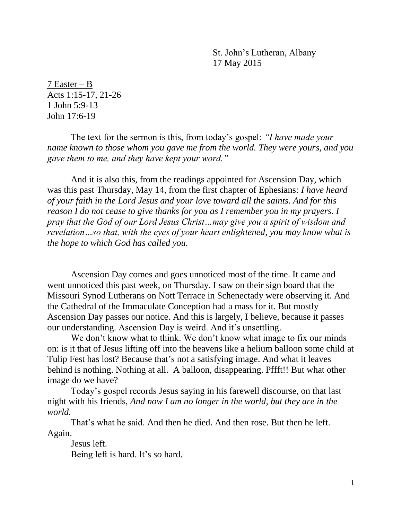St. John's Lutheran, Albany 17 May 2015

7 Easter – B Acts 1:15-17, 21-26 1 John 5:9-13 John 17:6-19

The text for the sermon is this, from today's gospel: *"I have made your name known to those whom you gave me from the world. They were yours, and you gave them to me, and they have kept your word."*

And it is also this, from the readings appointed for Ascension Day, which was this past Thursday, May 14, from the first chapter of Ephesians: *I have heard of your faith in the Lord Jesus and your love toward all the saints. And for this reason I do not cease to give thanks for you as I remember you in my prayers. I pray that the God of our Lord Jesus Christ…may give you a spirit of wisdom and revelation…so that, with the eyes of your heart enlightened, you may know what is the hope to which God has called you.*

Ascension Day comes and goes unnoticed most of the time. It came and went unnoticed this past week, on Thursday. I saw on their sign board that the Missouri Synod Lutherans on Nott Terrace in Schenectady were observing it. And the Cathedral of the Immaculate Conception had a mass for it. But mostly Ascension Day passes our notice. And this is largely, I believe, because it passes our understanding. Ascension Day is weird. And it's unsettling.

We don't know what to think. We don't know what image to fix our minds on: is it that of Jesus lifting off into the heavens like a helium balloon some child at Tulip Fest has lost? Because that's not a satisfying image. And what it leaves behind is nothing. Nothing at all. A balloon, disappearing. Pffft!! But what other image do we have?

Today's gospel records Jesus saying in his farewell discourse, on that last night with his friends, *And now I am no longer in the world, but they are in the world.*

That's what he said. And then he died. And then rose. But then he left. Again.

Jesus left. Being left is hard. It's *so* hard.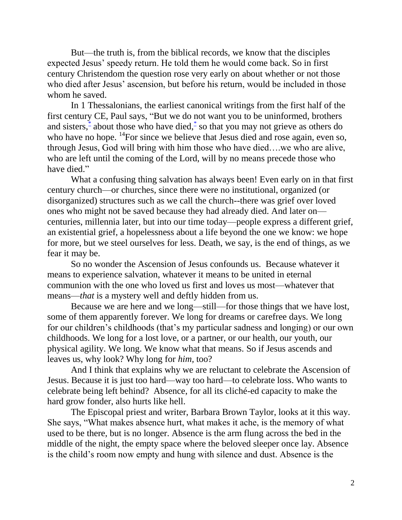But—the truth is, from the biblical records, we know that the disciples expected Jesus' speedy return. He told them he would come back. So in first century Christendom the question rose very early on about whether or not those who died after Jesus' ascension, but before his return, would be included in those whom he saved.

In 1 Thessalonians, the earliest canonical writings from the first half of the first century CE, Paul says, "But we do not want you to be uninformed, brothers and sisters,<sup>[\\*](javascript:void(0);)</sup> about those who have died,<sup>\*</sup> so that you may not grieve as others do who have no hope.  $\mathrm{^{14}F}$ or since we believe that Jesus died and rose again, even so, through Jesus, God will bring with him those who have died….we who are alive, who are left until the coming of the Lord, will by no means precede those who have died."

What a confusing thing salvation has always been! Even early on in that first century church—or churches, since there were no institutional, organized (or disorganized) structures such as we call the church--there was grief over loved ones who might not be saved because they had already died. And later on centuries, millennia later, but into our time today—people express a different grief, an existential grief, a hopelessness about a life beyond the one we know: we hope for more, but we steel ourselves for less. Death, we say, is the end of things, as we fear it may be.

So no wonder the Ascension of Jesus confounds us. Because whatever it means to experience salvation, whatever it means to be united in eternal communion with the one who loved us first and loves us most—whatever that means—*that* is a mystery well and deftly hidden from us.

Because we are here and we long—still—for those things that we have lost, some of them apparently forever. We long for dreams or carefree days. We long for our children's childhoods (that's my particular sadness and longing) or our own childhoods. We long for a lost love, or a partner, or our health, our youth, our physical agility. We long. We know what that means. So if Jesus ascends and leaves us, why look? Why long for *him,* too?

And I think that explains why we are reluctant to celebrate the Ascension of Jesus. Because it is just too hard—way too hard—to celebrate loss. Who wants to celebrate being left behind? Absence, for all its cliché-ed capacity to make the hard grow fonder, also hurts like hell.

The Episcopal priest and writer, Barbara Brown Taylor, looks at it this way. She says, "What makes absence hurt, what makes it ache, is the memory of what used to be there, but is no longer. Absence is the arm flung across the bed in the middle of the night, the empty space where the beloved sleeper once lay. Absence is the child's room now empty and hung with silence and dust. Absence is the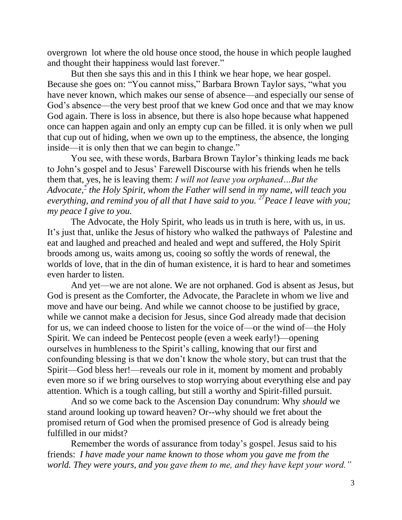overgrown lot where the old house once stood, the house in which people laughed and thought their happiness would last forever."

But then she says this and in this I think we hear hope, we hear gospel. Because she goes on: "You cannot miss," Barbara Brown Taylor says, "what you have never known, which makes our sense of absence—and especially our sense of God's absence—the very best proof that we knew God once and that we may know God again. There is loss in absence, but there is also hope because what happened once can happen again and only an empty cup can be filled. it is only when we pull that cup out of hiding, when we own up to the emptiness, the absence, the longing inside—it is only then that we can begin to change."

You see, with these words, Barbara Brown Taylor's thinking leads me back to John's gospel and to Jesus' Farewell Discourse with his friends when he tells them that, yes, he is leaving them: *I will not leave you orphaned…But the Advocate[,](javascript:void(0);)\* the Holy Spirit, whom the Father will send in my name, will teach you everything, and remind you of all that I have said to you. <sup>27</sup>Peace I leave with you; my peace I give to you.* 

The Advocate, the Holy Spirit, who leads us in truth is here, with us, in us. It's just that, unlike the Jesus of history who walked the pathways of Palestine and eat and laughed and preached and healed and wept and suffered, the Holy Spirit broods among us, waits among us, cooing so softly the words of renewal, the worlds of love, that in the din of human existence, it is hard to hear and sometimes even harder to listen.

And yet—we are not alone. We are not orphaned. God is absent as Jesus, but God is present as the Comforter, the Advocate, the Paraclete in whom we live and move and have our being. And while we cannot choose to be justified by grace, while we cannot make a decision for Jesus, since God already made that decision for us, we can indeed choose to listen for the voice of—or the wind of—the Holy Spirit. We can indeed be Pentecost people (even a week early!)—opening ourselves in humbleness to the Spirit's calling, knowing that our first and confounding blessing is that we don't know the whole story, but can trust that the Spirit—God bless her!—reveals our role in it, moment by moment and probably even more so if we bring ourselves to stop worrying about everything else and pay attention. Which is a tough calling, but still a worthy and Spirit-filled pursuit.

And so we come back to the Ascension Day conundrum: Why *should* we stand around looking up toward heaven? Or--why should we fret about the promised return of God when the promised presence of God is already being fulfilled in our midst?

Remember the words of assurance from today's gospel. Jesus said to his friends: *I have made your name known to those whom you gave me from the world. They were yours, and you gave them to me, and they have kept your word."*